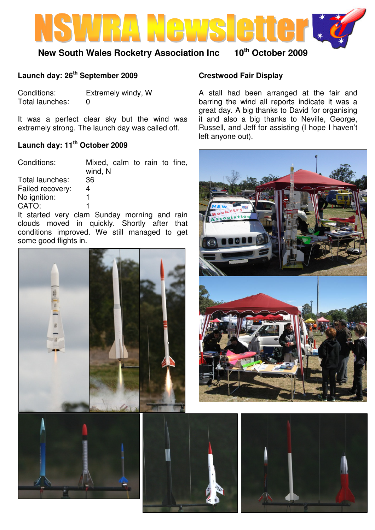

## **New South Wales Rocketry Association Inc 10th October 2009**

### **Launch day: 26th September 2009**

Conditions: Extremely windy, W Total launches: 0

It was a perfect clear sky but the wind was extremely strong. The launch day was called off.

## **Launch day: 11th October 2009**

Conditions: Mixed, calm to rain to fine, wind, N Total launches: 36 Failed recovery: 4 No ignition: 1 CATO: 1

It started very clam Sunday morning and rain clouds moved in quickly. Shortly after that conditions improved. We still managed to get some good flights in.





# **Crestwood Fair Display**

A stall had been arranged at the fair and barring the wind all reports indicate it was a great day. A big thanks to David for organising it and also a big thanks to Neville, George, Russell, and Jeff for assisting (I hope I haven't left anyone out).